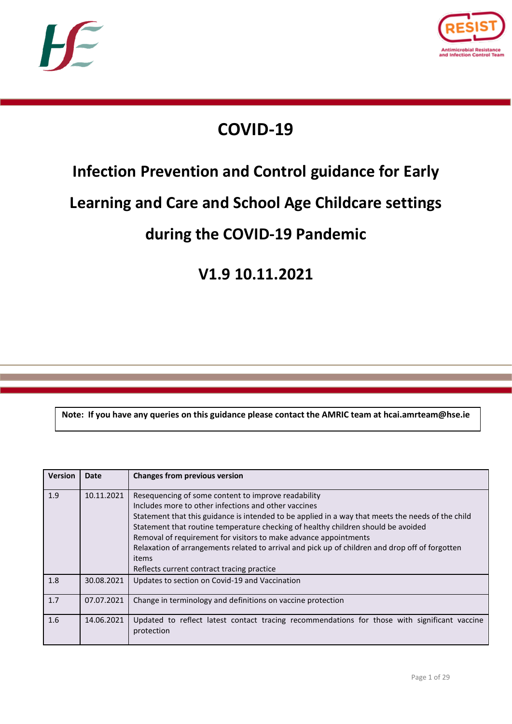



# **COVID-19**

# **Infection Prevention and Control guidance for Early**

# **Learning and Care and School Age Childcare settings**

# **during the COVID-19 Pandemic**

# **V1.9 10.11.2021**

**Note: If you have any queries on this guidance please contact the AMRIC team at hcai.amrteam@hse.ie**

| <b>Version</b> | <b>Date</b> | <b>Changes from previous version</b>                                                                                                                                                                                                                                                                                                                                                                                                                                                                                                |
|----------------|-------------|-------------------------------------------------------------------------------------------------------------------------------------------------------------------------------------------------------------------------------------------------------------------------------------------------------------------------------------------------------------------------------------------------------------------------------------------------------------------------------------------------------------------------------------|
| 1.9            | 10.11.2021  | Resequencing of some content to improve readability<br>Includes more to other infections and other vaccines<br>Statement that this guidance is intended to be applied in a way that meets the needs of the child<br>Statement that routine temperature checking of healthy children should be avoided<br>Removal of requirement for visitors to make advance appointments<br>Relaxation of arrangements related to arrival and pick up of children and drop off of forgotten<br>items<br>Reflects current contract tracing practice |
| 1.8            | 30.08.2021  | Updates to section on Covid-19 and Vaccination                                                                                                                                                                                                                                                                                                                                                                                                                                                                                      |
| 1.7            | 07.07.2021  | Change in terminology and definitions on vaccine protection                                                                                                                                                                                                                                                                                                                                                                                                                                                                         |
| 1.6            | 14.06.2021  | Updated to reflect latest contact tracing recommendations for those with significant vaccine<br>protection                                                                                                                                                                                                                                                                                                                                                                                                                          |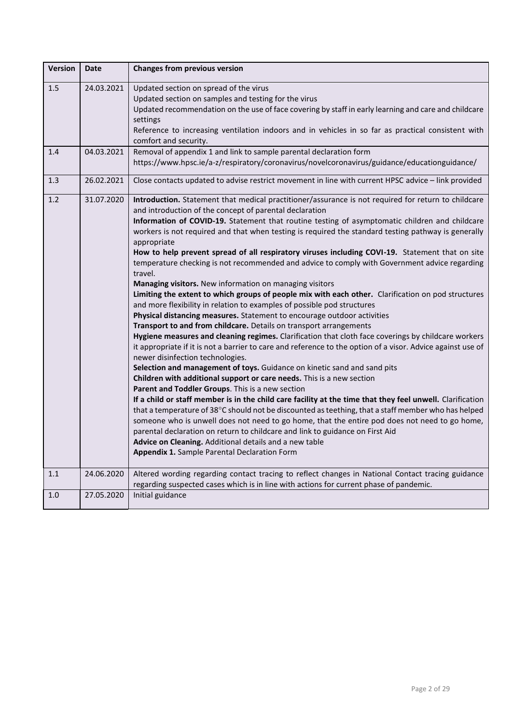| <b>Version</b> | <b>Date</b> | <b>Changes from previous version</b>                                                                                                                                                                                                                                                                                                                                                                                                                                                                                                                                                                                                                                                                                                                                                                                                                                                                                                                                                                                                                                                                                                                                                                                                                                                                                                                                                                                                                                                                                                                                                                                                                                                                                                                                                                                                                                                                                                                                                  |
|----------------|-------------|---------------------------------------------------------------------------------------------------------------------------------------------------------------------------------------------------------------------------------------------------------------------------------------------------------------------------------------------------------------------------------------------------------------------------------------------------------------------------------------------------------------------------------------------------------------------------------------------------------------------------------------------------------------------------------------------------------------------------------------------------------------------------------------------------------------------------------------------------------------------------------------------------------------------------------------------------------------------------------------------------------------------------------------------------------------------------------------------------------------------------------------------------------------------------------------------------------------------------------------------------------------------------------------------------------------------------------------------------------------------------------------------------------------------------------------------------------------------------------------------------------------------------------------------------------------------------------------------------------------------------------------------------------------------------------------------------------------------------------------------------------------------------------------------------------------------------------------------------------------------------------------------------------------------------------------------------------------------------------------|
| 1.5            | 24.03.2021  | Updated section on spread of the virus<br>Updated section on samples and testing for the virus<br>Updated recommendation on the use of face covering by staff in early learning and care and childcare<br>settings<br>Reference to increasing ventilation indoors and in vehicles in so far as practical consistent with<br>comfort and security.                                                                                                                                                                                                                                                                                                                                                                                                                                                                                                                                                                                                                                                                                                                                                                                                                                                                                                                                                                                                                                                                                                                                                                                                                                                                                                                                                                                                                                                                                                                                                                                                                                     |
| 1.4            | 04.03.2021  | Removal of appendix 1 and link to sample parental declaration form<br>https://www.hpsc.ie/a-z/respiratory/coronavirus/novelcoronavirus/guidance/educationguidance/                                                                                                                                                                                                                                                                                                                                                                                                                                                                                                                                                                                                                                                                                                                                                                                                                                                                                                                                                                                                                                                                                                                                                                                                                                                                                                                                                                                                                                                                                                                                                                                                                                                                                                                                                                                                                    |
| 1.3            | 26.02.2021  | Close contacts updated to advise restrict movement in line with current HPSC advice - link provided                                                                                                                                                                                                                                                                                                                                                                                                                                                                                                                                                                                                                                                                                                                                                                                                                                                                                                                                                                                                                                                                                                                                                                                                                                                                                                                                                                                                                                                                                                                                                                                                                                                                                                                                                                                                                                                                                   |
| 1.2            | 31.07.2020  | Introduction. Statement that medical practitioner/assurance is not required for return to childcare<br>and introduction of the concept of parental declaration<br>Information of COVID-19. Statement that routine testing of asymptomatic children and childcare<br>workers is not required and that when testing is required the standard testing pathway is generally<br>appropriate<br>How to help prevent spread of all respiratory viruses including COVI-19. Statement that on site<br>temperature checking is not recommended and advice to comply with Government advice regarding<br>travel.<br>Managing visitors. New information on managing visitors<br>Limiting the extent to which groups of people mix with each other. Clarification on pod structures<br>and more flexibility in relation to examples of possible pod structures<br>Physical distancing measures. Statement to encourage outdoor activities<br>Transport to and from childcare. Details on transport arrangements<br>Hygiene measures and cleaning regimes. Clarification that cloth face coverings by childcare workers<br>it appropriate if it is not a barrier to care and reference to the option of a visor. Advice against use of<br>newer disinfection technologies.<br>Selection and management of toys. Guidance on kinetic sand and sand pits<br>Children with additional support or care needs. This is a new section<br>Parent and Toddler Groups. This is a new section<br>If a child or staff member is in the child care facility at the time that they feel unwell. Clarification<br>that a temperature of 38°C should not be discounted as teething, that a staff member who has helped<br>someone who is unwell does not need to go home, that the entire pod does not need to go home,<br>parental declaration on return to childcare and link to guidance on First Aid<br>Advice on Cleaning. Additional details and a new table<br>Appendix 1. Sample Parental Declaration Form |
| 1.1            | 24.06.2020  | Altered wording regarding contact tracing to reflect changes in National Contact tracing guidance<br>regarding suspected cases which is in line with actions for current phase of pandemic.                                                                                                                                                                                                                                                                                                                                                                                                                                                                                                                                                                                                                                                                                                                                                                                                                                                                                                                                                                                                                                                                                                                                                                                                                                                                                                                                                                                                                                                                                                                                                                                                                                                                                                                                                                                           |
| 1.0            | 27.05.2020  | Initial guidance                                                                                                                                                                                                                                                                                                                                                                                                                                                                                                                                                                                                                                                                                                                                                                                                                                                                                                                                                                                                                                                                                                                                                                                                                                                                                                                                                                                                                                                                                                                                                                                                                                                                                                                                                                                                                                                                                                                                                                      |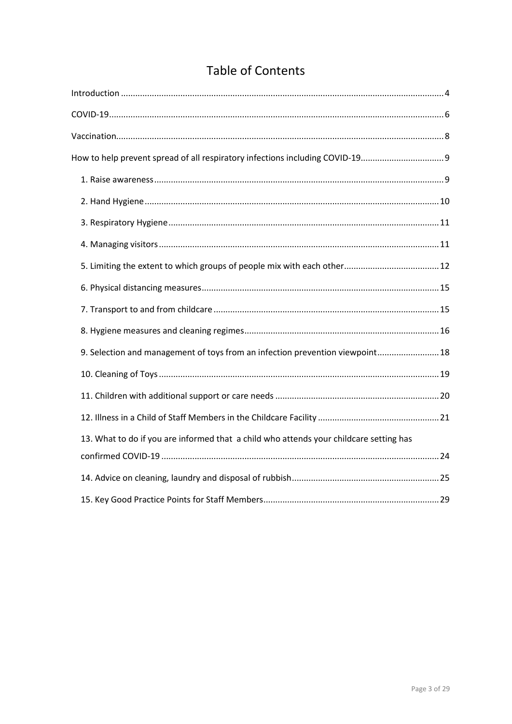# **Table of Contents**

| How to help prevent spread of all respiratory infections including COVID-19            |  |
|----------------------------------------------------------------------------------------|--|
|                                                                                        |  |
|                                                                                        |  |
|                                                                                        |  |
|                                                                                        |  |
|                                                                                        |  |
|                                                                                        |  |
|                                                                                        |  |
|                                                                                        |  |
| 9. Selection and management of toys from an infection prevention viewpoint 18          |  |
|                                                                                        |  |
|                                                                                        |  |
|                                                                                        |  |
| 13. What to do if you are informed that a child who attends your childcare setting has |  |
|                                                                                        |  |
|                                                                                        |  |
|                                                                                        |  |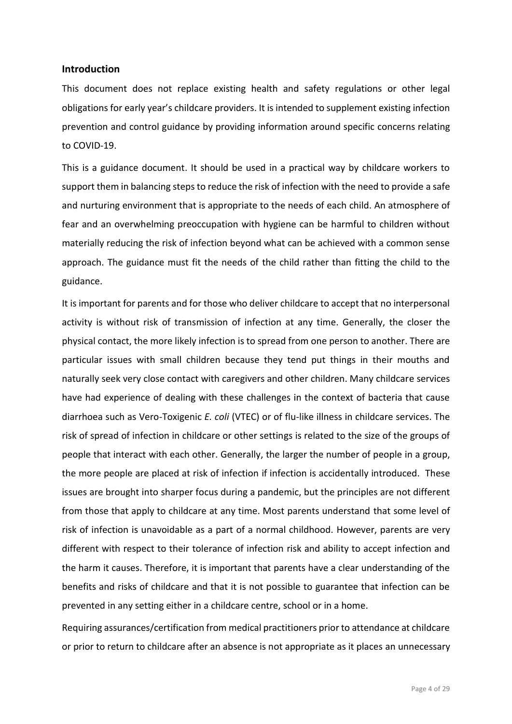#### <span id="page-3-0"></span>**Introduction**

This document does not replace existing health and safety regulations or other legal obligations for early year's childcare providers. It is intended to supplement existing infection prevention and control guidance by providing information around specific concerns relating to COVID-19.

This is a guidance document. It should be used in a practical way by childcare workers to support them in balancing steps to reduce the risk of infection with the need to provide a safe and nurturing environment that is appropriate to the needs of each child. An atmosphere of fear and an overwhelming preoccupation with hygiene can be harmful to children without materially reducing the risk of infection beyond what can be achieved with a common sense approach. The guidance must fit the needs of the child rather than fitting the child to the guidance.

It is important for parents and for those who deliver childcare to accept that no interpersonal activity is without risk of transmission of infection at any time. Generally, the closer the physical contact, the more likely infection is to spread from one person to another. There are particular issues with small children because they tend put things in their mouths and naturally seek very close contact with caregivers and other children. Many childcare services have had experience of dealing with these challenges in the context of bacteria that cause diarrhoea such as Vero-Toxigenic *E. coli* (VTEC) or of flu-like illness in childcare services. The risk of spread of infection in childcare or other settings is related to the size of the groups of people that interact with each other. Generally, the larger the number of people in a group, the more people are placed at risk of infection if infection is accidentally introduced. These issues are brought into sharper focus during a pandemic, but the principles are not different from those that apply to childcare at any time. Most parents understand that some level of risk of infection is unavoidable as a part of a normal childhood. However, parents are very different with respect to their tolerance of infection risk and ability to accept infection and the harm it causes. Therefore, it is important that parents have a clear understanding of the benefits and risks of childcare and that it is not possible to guarantee that infection can be prevented in any setting either in a childcare centre, school or in a home.

Requiring assurances/certification from medical practitioners prior to attendance at childcare or prior to return to childcare after an absence is not appropriate as it places an unnecessary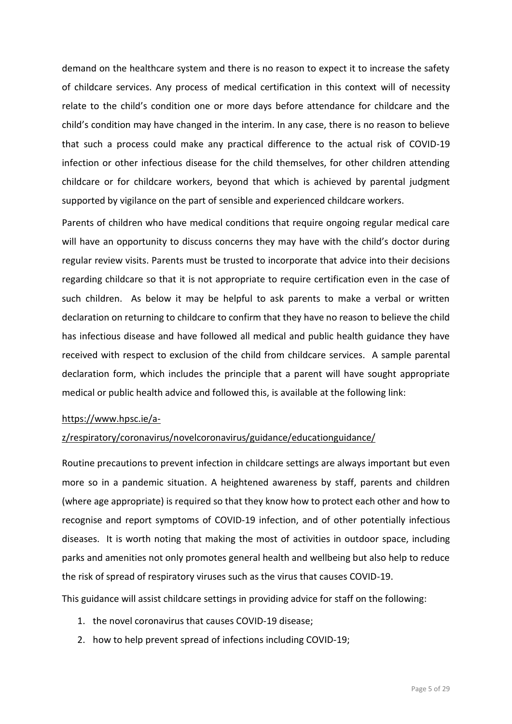demand on the healthcare system and there is no reason to expect it to increase the safety of childcare services. Any process of medical certification in this context will of necessity relate to the child's condition one or more days before attendance for childcare and the child's condition may have changed in the interim. In any case, there is no reason to believe that such a process could make any practical difference to the actual risk of COVID-19 infection or other infectious disease for the child themselves, for other children attending childcare or for childcare workers, beyond that which is achieved by parental judgment supported by vigilance on the part of sensible and experienced childcare workers.

Parents of children who have medical conditions that require ongoing regular medical care will have an opportunity to discuss concerns they may have with the child's doctor during regular review visits. Parents must be trusted to incorporate that advice into their decisions regarding childcare so that it is not appropriate to require certification even in the case of such children. As below it may be helpful to ask parents to make a verbal or written declaration on returning to childcare to confirm that they have no reason to believe the child has infectious disease and have followed all medical and public health guidance they have received with respect to exclusion of the child from childcare services. A sample parental declaration form, which includes the principle that a parent will have sought appropriate medical or public health advice and followed this, is available at the following link:

#### [https://www.hpsc.ie/a-](https://scanner.topsec.com/?u=https%3A%2F%2Fwww.hpsc.ie%2Fa-z%2Frespiratory%2Fcoronavirus%2Fnovelcoronavirus%2Fguidance%2Feducationguidance%2F&t=a80320abf5fca90360a58f556f540fa1e8ae9f77&d=2104)

#### [z/respiratory/coronavirus/novelcoronavirus/guidance/educationguidance/](https://scanner.topsec.com/?u=https%3A%2F%2Fwww.hpsc.ie%2Fa-z%2Frespiratory%2Fcoronavirus%2Fnovelcoronavirus%2Fguidance%2Feducationguidance%2F&t=a80320abf5fca90360a58f556f540fa1e8ae9f77&d=2104)

Routine precautions to prevent infection in childcare settings are always important but even more so in a pandemic situation. A heightened awareness by staff, parents and children (where age appropriate) is required so that they know how to protect each other and how to recognise and report symptoms of COVID-19 infection, and of other potentially infectious diseases. It is worth noting that making the most of activities in outdoor space, including parks and amenities not only promotes general health and wellbeing but also help to reduce the risk of spread of respiratory viruses such as the virus that causes COVID-19.

This guidance will assist childcare settings in providing advice for staff on the following:

- 1. the novel coronavirus that causes COVID-19 disease;
- 2. how to help prevent spread of infections including COVID-19;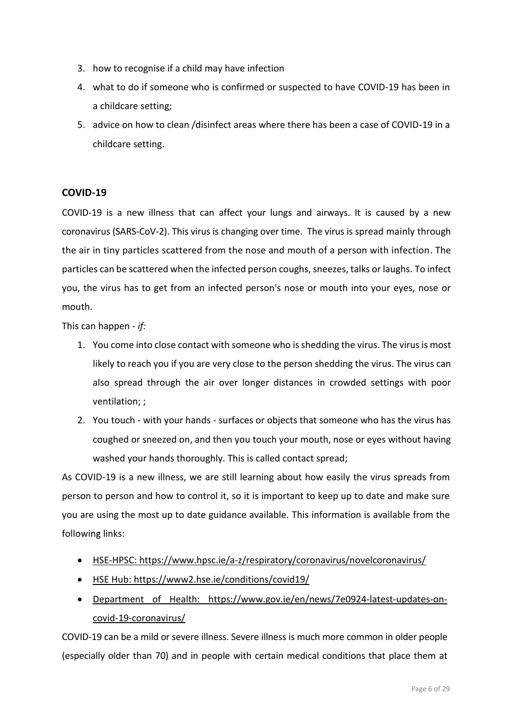- 3. how to recognise if a child may have infection
- 4. what to do if someone who is confirmed or suspected to have COVID-19 has been in a childcare setting;
- 5. advice on how to clean /disinfect areas where there has been a case of COVID-19 in a childcare setting.

# <span id="page-5-0"></span>**COVID-19**

COVID-19 is a new illness that can affect your lungs and airways. It is caused by a new coronavirus (SARS-CoV-2). This virus is changing over time. The virus is spread mainly through the air in tiny particles scattered from the nose and mouth of a person with infection. The particles can be scattered when the infected person coughs, sneezes, talks or laughs. To infect you, the virus has to get from an infected person's nose or mouth into your eyes, nose or mouth.

This can happen - *if:*

- 1. You come into close contact with someone who is shedding the virus. The virus is most likely to reach you if you are very close to the person shedding the virus. The virus can also spread through the air over longer distances in crowded settings with poor ventilation; ;
- 2. You touch with your hands surfaces or objects that someone who has the virus has coughed or sneezed on, and then you touch your mouth, nose or eyes without having washed your hands thoroughly. This is called contact spread;

As COVID-19 is a new illness, we are still learning about how easily the virus spreads from person to person and how to control it, so it is important to keep up to date and make sure you are using the most up to date guidance available. This information is available from the following links:

- [HSE-HPSC: https://www.hpsc.ie/a-z/respiratory/coronavirus/novelcoronavirus/](https://www.hpsc.ie/a-z/respiratory/coronavirus/novelcoronavirus/)
- [HSE Hub:](https://hse.drsteevenslibrary.ie/Covid19V2)<https://www2.hse.ie/conditions/covid19/>
- [Department of Health:](https://www.gov.ie/en/campaigns/c36c85-covid-19-coronavirus/) [https://www.gov.ie/en/news/7e0924-latest-updates-on](https://www.gov.ie/en/news/7e0924-latest-updates-on-covid-19-coronavirus/)[covid-19-coronavirus/](https://www.gov.ie/en/news/7e0924-latest-updates-on-covid-19-coronavirus/)

COVID-19 can be a mild or severe illness. Severe illness is much more common in older people (especially older than 70) and in people with certain medical conditions that place them at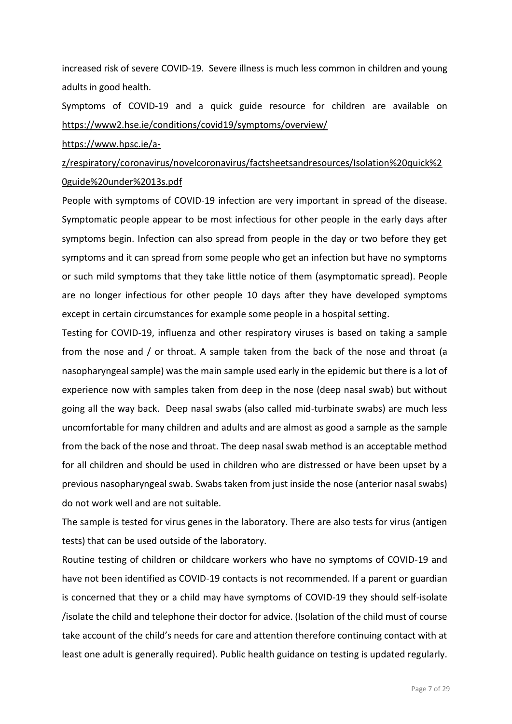increased risk of severe COVID-19. Severe illness is much less common in children and young adults in good health.

Symptoms of COVID-19 and a quick guide resource for children are available on <https://www2.hse.ie/conditions/covid19/symptoms/overview/>

#### [https://www.hpsc.ie/a-](https://www.hpsc.ie/a-z/respiratory/coronavirus/novelcoronavirus/factsheetsandresources/Isolation%20quick%20guide%20under%2013s.pdf)

# [z/respiratory/coronavirus/novelcoronavirus/factsheetsandresources/Isolation%20quick%2](https://www.hpsc.ie/a-z/respiratory/coronavirus/novelcoronavirus/factsheetsandresources/Isolation%20quick%20guide%20under%2013s.pdf) [0guide%20under%2013s.pdf](https://www.hpsc.ie/a-z/respiratory/coronavirus/novelcoronavirus/factsheetsandresources/Isolation%20quick%20guide%20under%2013s.pdf)

People with symptoms of COVID-19 infection are very important in spread of the disease. Symptomatic people appear to be most infectious for other people in the early days after symptoms begin. Infection can also spread from people in the day or two before they get symptoms and it can spread from some people who get an infection but have no symptoms or such mild symptoms that they take little notice of them (asymptomatic spread). People are no longer infectious for other people 10 days after they have developed symptoms except in certain circumstances for example some people in a hospital setting.

Testing for COVID-19, influenza and other respiratory viruses is based on taking a sample from the nose and / or throat. A sample taken from the back of the nose and throat (a nasopharyngeal sample) was the main sample used early in the epidemic but there is a lot of experience now with samples taken from deep in the nose (deep nasal swab) but without going all the way back. Deep nasal swabs (also called mid-turbinate swabs) are much less uncomfortable for many children and adults and are almost as good a sample as the sample from the back of the nose and throat. The deep nasal swab method is an acceptable method for all children and should be used in children who are distressed or have been upset by a previous nasopharyngeal swab. Swabs taken from just inside the nose (anterior nasal swabs) do not work well and are not suitable.

The sample is tested for virus genes in the laboratory. There are also tests for virus (antigen tests) that can be used outside of the laboratory.

Routine testing of children or childcare workers who have no symptoms of COVID-19 and have not been identified as COVID-19 contacts is not recommended. If a parent or guardian is concerned that they or a child may have symptoms of COVID-19 they should self-isolate /isolate the child and telephone their doctor for advice. (Isolation of the child must of course take account of the child's needs for care and attention therefore continuing contact with at least one adult is generally required). Public health guidance on testing is updated regularly.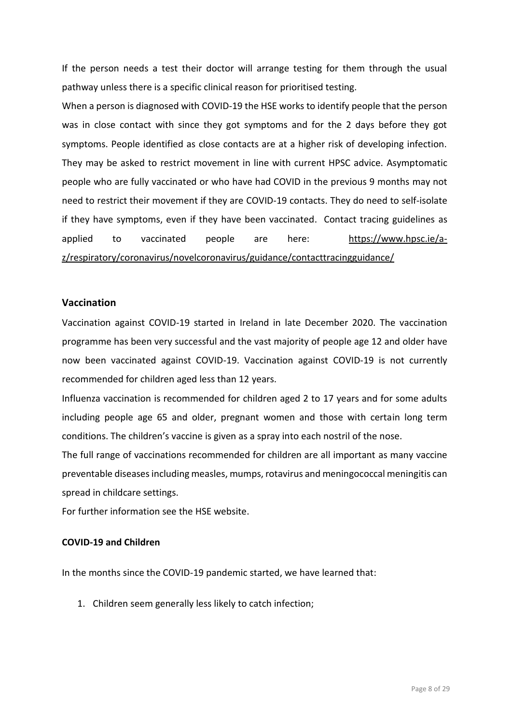If the person needs a test their doctor will arrange testing for them through the usual pathway unless there is a specific clinical reason for prioritised testing.

When a person is diagnosed with COVID-19 the HSE works to identify people that the person was in close contact with since they got symptoms and for the 2 days before they got symptoms. People identified as close contacts are at a higher risk of developing infection. They may be asked to restrict movement in line with current HPSC advice. Asymptomatic people who are fully vaccinated or who have had COVID in the previous 9 months may not need to restrict their movement if they are COVID-19 contacts. They do need to self-isolate if they have symptoms, even if they have been vaccinated. Contact tracing guidelines as applied to vaccinated people are here: [https://www.hpsc.ie/a](https://www.hpsc.ie/a-z/respiratory/coronavirus/novelcoronavirus/guidance/contacttracingguidance/)[z/respiratory/coronavirus/novelcoronavirus/guidance/contacttracingguidance/](https://www.hpsc.ie/a-z/respiratory/coronavirus/novelcoronavirus/guidance/contacttracingguidance/)

#### <span id="page-7-0"></span>**Vaccination**

Vaccination against COVID-19 started in Ireland in late December 2020. The vaccination programme has been very successful and the vast majority of people age 12 and older have now been vaccinated against COVID-19. Vaccination against COVID-19 is not currently recommended for children aged less than 12 years.

Influenza vaccination is recommended for children aged 2 to 17 years and for some adults including people age 65 and older, pregnant women and those with certain long term conditions. The children's vaccine is given as a spray into each nostril of the nose.

The full range of vaccinations recommended for children are all important as many vaccine preventable diseases including measles, mumps, rotavirus and meningococcal meningitis can spread in childcare settings.

For further information see the HSE website.

# **COVID-19 and Children**

In the months since the COVID-19 pandemic started, we have learned that:

1. Children seem generally less likely to catch infection;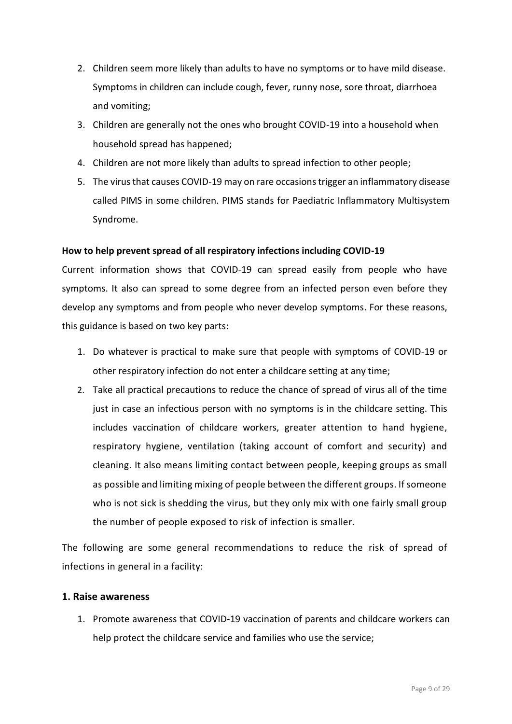- 2. Children seem more likely than adults to have no symptoms or to have mild disease. Symptoms in children can include cough, fever, runny nose, sore throat, diarrhoea and vomiting;
- 3. Children are generally not the ones who brought COVID-19 into a household when household spread has happened;
- 4. Children are not more likely than adults to spread infection to other people;
- 5. The virus that causes COVID-19 may on rare occasions trigger an inflammatory disease called PIMS in some children. PIMS stands for Paediatric Inflammatory Multisystem Syndrome.

## <span id="page-8-0"></span>**How to help prevent spread of all respiratory infections including COVID-19**

Current information shows that COVID-19 can spread easily from people who have symptoms. It also can spread to some degree from an infected person even before they develop any symptoms and from people who never develop symptoms. For these reasons, this guidance is based on two key parts:

- 1. Do whatever is practical to make sure that people with symptoms of COVID-19 or other respiratory infection do not enter a childcare setting at any time;
- 2. Take all practical precautions to reduce the chance of spread of virus all of the time just in case an infectious person with no symptoms is in the childcare setting. This includes vaccination of childcare workers, greater attention to hand hygiene, respiratory hygiene, ventilation (taking account of comfort and security) and cleaning. It also means limiting contact between people, keeping groups as small as possible and limiting mixing of people between the different groups. If someone who is not sick is shedding the virus, but they only mix with one fairly small group the number of people exposed to risk of infection is smaller.

The following are some general recommendations to reduce the risk of spread of infections in general in a facility:

## <span id="page-8-1"></span>**1. Raise awareness**

1. Promote awareness that COVID-19 vaccination of parents and childcare workers can help protect the childcare service and families who use the service;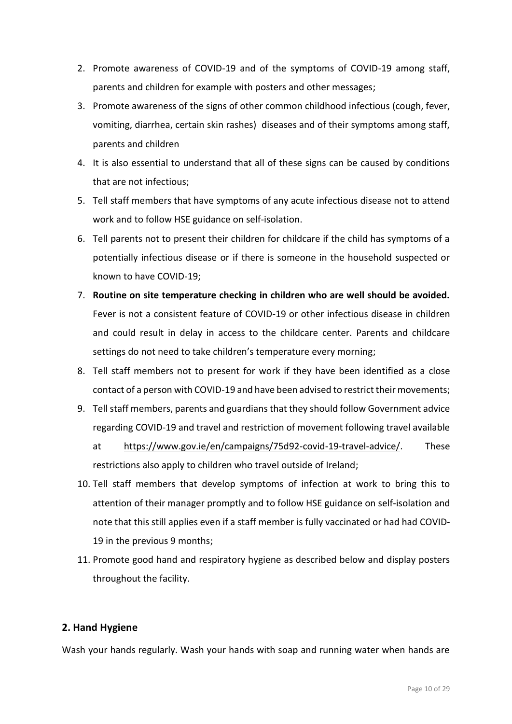- 2. Promote awareness of COVID-19 and of the symptoms of COVID-19 among staff, parents and children for example with posters and other messages;
- 3. Promote awareness of the signs of other common childhood infectious (cough, fever, vomiting, diarrhea, certain skin rashes) diseases and of their symptoms among staff, parents and children
- 4. It is also essential to understand that all of these signs can be caused by conditions that are not infectious;
- 5. Tell staff members that have symptoms of any acute infectious disease not to attend work and to follow HSE guidance on self-isolation.
- 6. Tell parents not to present their children for childcare if the child has symptoms of a potentially infectious disease or if there is someone in the household suspected or known to have COVID-19;
- 7. **Routine on site temperature checking in children who are well should be avoided.**  Fever is not a consistent feature of COVID-19 or other infectious disease in children and could result in delay in access to the childcare center. Parents and childcare settings do not need to take children's temperature every morning;
- 8. Tell staff members not to present for work if they have been identified as a close contact of a person with COVID-19 and have been advised to restrict their movements;
- 9. Tell staff members, parents and guardians that they should follow Government advice regarding COVID-19 and travel and restriction of movement following travel available
	- at [https://www.gov.ie/en/campaigns/75d92-covid-19-travel-advice/.](https://www.gov.ie/en/campaigns/75d92-covid-19-travel-advice/) These restrictions also apply to children who travel outside of Ireland;
- 10. Tell staff members that develop symptoms of infection at work to bring this to attention of their manager promptly and to follow HSE guidance on self-isolation and note that this still applies even if a staff member is fully vaccinated or had had COVID-19 in the previous 9 months;
- 11. Promote good hand and respiratory hygiene as described below and display posters throughout the facility.

# <span id="page-9-0"></span>**2. Hand Hygiene**

Wash your hands regularly. Wash your hands with soap and running water when hands are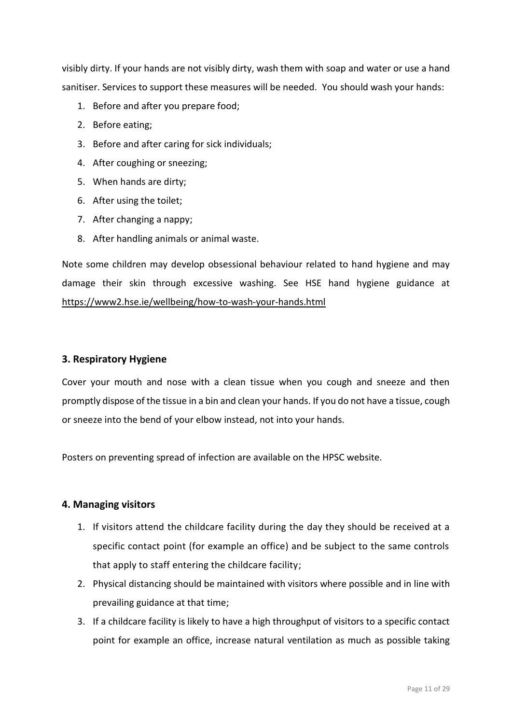visibly dirty. If your hands are not visibly dirty, wash them with soap and water or use a hand sanitiser. Services to support these measures will be needed. You should wash your hands:

- 1. Before and after you prepare food;
- 2. Before eating;
- 3. Before and after caring for sick individuals;
- 4. After coughing or sneezing;
- 5. When hands are dirty;
- 6. After using the toilet;
- 7. After changing a nappy;
- 8. After handling animals or animal waste.

Note some children may develop obsessional behaviour related to hand hygiene and may damage their skin through excessive washing. See HSE hand hygiene guidance at <https://www2.hse.ie/wellbeing/how-to-wash-your-hands.html>

## <span id="page-10-0"></span>**3. Respiratory Hygiene**

Cover your mouth and nose with a clean tissue when you cough and sneeze and then promptly dispose of the tissue in a bin and clean your hands. If you do not have a tissue, cough or sneeze into the bend of your elbow instead, not into your hands.

Posters on preventing spread of infection are available on the HPSC website.

## <span id="page-10-1"></span>**4. Managing visitors**

- 1. If visitors attend the childcare facility during the day they should be received at a specific contact point (for example an office) and be subject to the same controls that apply to staff entering the childcare facility;
- 2. Physical distancing should be maintained with visitors where possible and in line with prevailing guidance at that time;
- 3. If a childcare facility is likely to have a high throughput of visitors to a specific contact point for example an office, increase natural ventilation as much as possible taking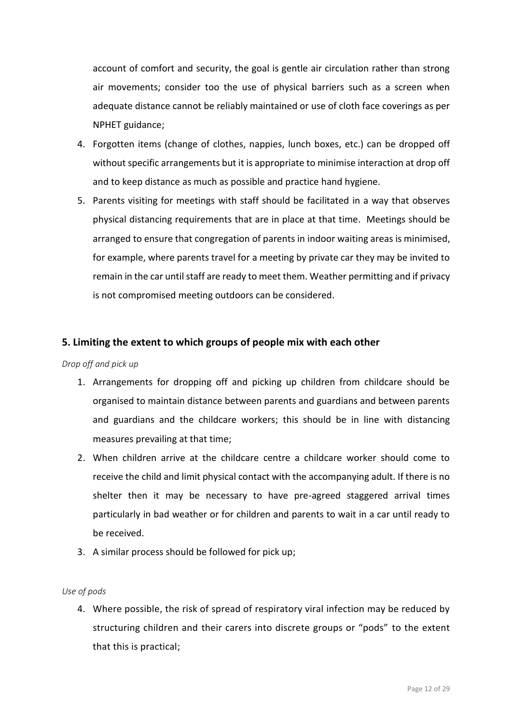account of comfort and security, the goal is gentle air circulation rather than strong air movements; consider too the use of physical barriers such as a screen when adequate distance cannot be reliably maintained or use of cloth face coverings as per NPHET guidance;

- 4. Forgotten items (change of clothes, nappies, lunch boxes, etc.) can be dropped off without specific arrangements but it is appropriate to minimise interaction at drop off and to keep distance as much as possible and practice hand hygiene.
- 5. Parents visiting for meetings with staff should be facilitated in a way that observes physical distancing requirements that are in place at that time. Meetings should be arranged to ensure that congregation of parents in indoor waiting areas is minimised, for example, where parents travel for a meeting by private car they may be invited to remain in the car until staff are ready to meet them. Weather permitting and if privacy is not compromised meeting outdoors can be considered.

# <span id="page-11-0"></span>**5. Limiting the extent to which groups of people mix with each other**

#### *Drop off and pick up*

- 1. Arrangements for dropping off and picking up children from childcare should be organised to maintain distance between parents and guardians and between parents and guardians and the childcare workers; this should be in line with distancing measures prevailing at that time;
- 2. When children arrive at the childcare centre a childcare worker should come to receive the child and limit physical contact with the accompanying adult. If there is no shelter then it may be necessary to have pre-agreed staggered arrival times particularly in bad weather or for children and parents to wait in a car until ready to be received.
- 3. A similar process should be followed for pick up;

#### *Use of pods*

4. Where possible, the risk of spread of respiratory viral infection may be reduced by structuring children and their carers into discrete groups or "pods" to the extent that this is practical;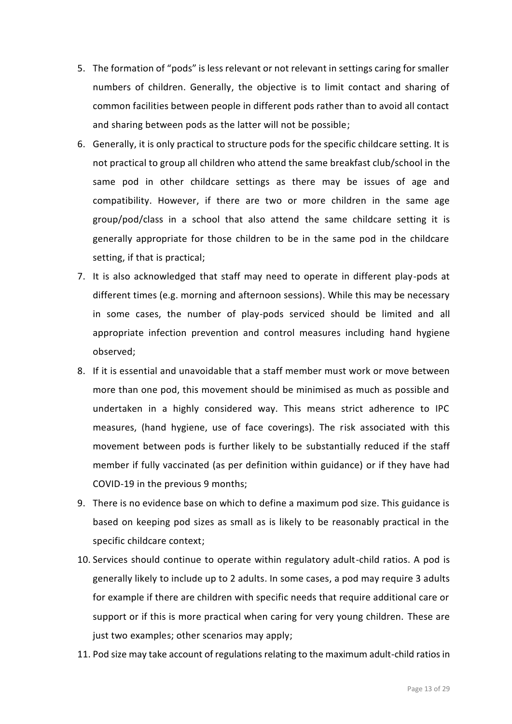- 5. The formation of "pods" is less relevant or not relevant in settings caring for smaller numbers of children. Generally, the objective is to limit contact and sharing of common facilities between people in different pods rather than to avoid all contact and sharing between pods as the latter will not be possible;
- 6. Generally, it is only practical to structure pods for the specific childcare setting. It is not practical to group all children who attend the same breakfast club/school in the same pod in other childcare settings as there may be issues of age and compatibility. However, if there are two or more children in the same age group/pod/class in a school that also attend the same childcare setting it is generally appropriate for those children to be in the same pod in the childcare setting, if that is practical;
- 7. It is also acknowledged that staff may need to operate in different play-pods at different times (e.g. morning and afternoon sessions). While this may be necessary in some cases, the number of play-pods serviced should be limited and all appropriate infection prevention and control measures including hand hygiene observed;
- 8. If it is essential and unavoidable that a staff member must work or move between more than one pod, this movement should be minimised as much as possible and undertaken in a highly considered way. This means strict adherence to IPC measures, (hand hygiene, use of face coverings). The risk associated with this movement between pods is further likely to be substantially reduced if the staff member if fully vaccinated (as per definition within guidance) or if they have had COVID-19 in the previous 9 months;
- 9. There is no evidence base on which to define a maximum pod size. This guidance is based on keeping pod sizes as small as is likely to be reasonably practical in the specific childcare context;
- 10. Services should continue to operate within regulatory adult-child ratios. A pod is generally likely to include up to 2 adults. In some cases, a pod may require 3 adults for example if there are children with specific needs that require additional care or support or if this is more practical when caring for very young children. These are just two examples; other scenarios may apply;
- 11. Pod size may take account of regulations relating to the maximum adult-child ratios in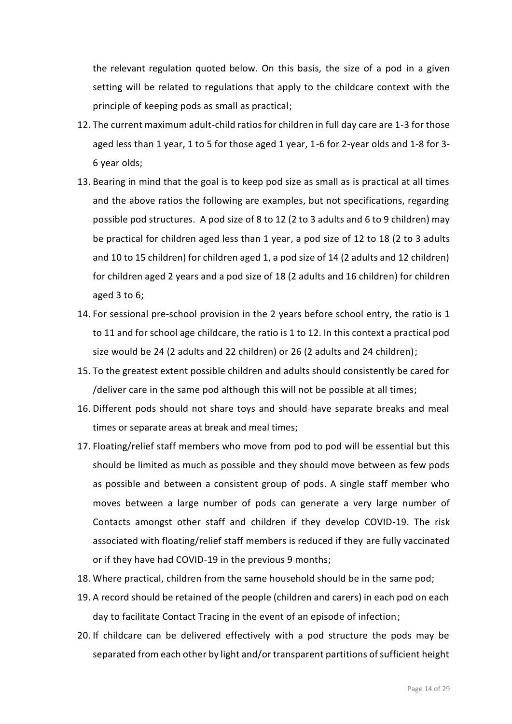the relevant regulation quoted below. On this basis, the size of a pod in a given setting will be related to regulations that apply to the childcare context with the principle of keeping pods as small as practical;

- 12. The current maximum adult-child ratios for children in full day care are 1-3 for those aged less than 1 year, 1 to 5 for those aged 1 year, 1-6 for 2-year olds and 1-8 for 3- 6 year olds;
- 13. Bearing in mind that the goal is to keep pod size as small as is practical at all times and the above ratios the following are examples, but not specifications, regarding possible pod structures. A pod size of 8 to 12 (2 to 3 adults and 6 to 9 children) may be practical for children aged less than 1 year, a pod size of 12 to 18 (2 to 3 adults and 10 to 15 children) for children aged 1, a pod size of 14 (2 adults and 12 children) for children aged 2 years and a pod size of 18 (2 adults and 16 children) for children aged 3 to 6;
- 14. For sessional pre-school provision in the 2 years before school entry, the ratio is 1 to 11 and for school age childcare, the ratio is 1 to 12. In this context a practical pod size would be 24 (2 adults and 22 children) or 26 (2 adults and 24 children);
- 15. To the greatest extent possible children and adults should consistently be cared for /deliver care in the same pod although this will not be possible at all times;
- 16. Different pods should not share toys and should have separate breaks and meal times or separate areas at break and meal times;
- 17. Floating/relief staff members who move from pod to pod will be essential but this should be limited as much as possible and they should move between as few pods as possible and between a consistent group of pods. A single staff member who moves between a large number of pods can generate a very large number of Contacts amongst other staff and children if they develop COVID-19. The risk associated with floating/relief staff members is reduced if they are fully vaccinated or if they have had COVID-19 in the previous 9 months;
- 18. Where practical, children from the same household should be in the same pod;
- 19. A record should be retained of the people (children and carers) in each pod on each day to facilitate Contact Tracing in the event of an episode of infection;
- 20. If childcare can be delivered effectively with a pod structure the pods may be separated from each other by light and/or transparent partitions of sufficient height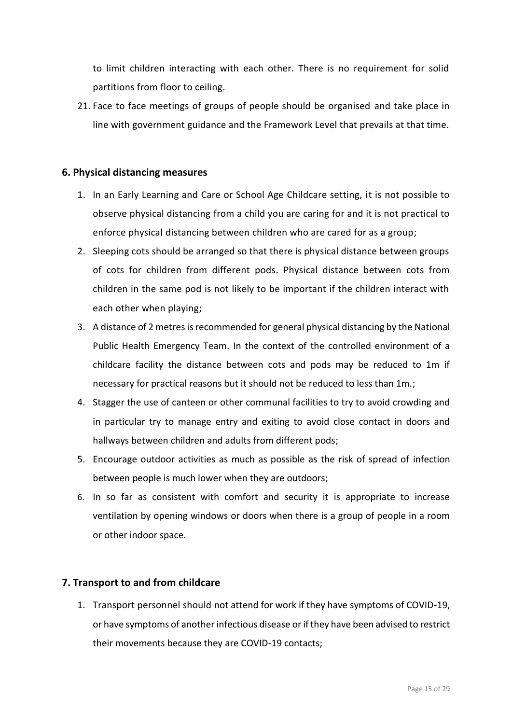to limit children interacting with each other. There is no requirement for solid partitions from floor to ceiling.

21. Face to face meetings of groups of people should be organised and take place in line with government guidance and the Framework Level that prevails at that time.

# <span id="page-14-0"></span>**6. Physical distancing measures**

- 1. In an Early Learning and Care or School Age Childcare setting, it is not possible to observe physical distancing from a child you are caring for and it is not practical to enforce physical distancing between children who are cared for as a group;
- 2. Sleeping cots should be arranged so that there is physical distance between groups of cots for children from different pods. Physical distance between cots from children in the same pod is not likely to be important if the children interact with each other when playing;
- 3. A distance of 2 metres is recommended for general physical distancing by the National Public Health Emergency Team. In the context of the controlled environment of a childcare facility the distance between cots and pods may be reduced to 1m if necessary for practical reasons but it should not be reduced to less than 1m.;
- 4. Stagger the use of canteen or other communal facilities to try to avoid crowding and in particular try to manage entry and exiting to avoid close contact in doors and hallways between children and adults from different pods;
- 5. Encourage outdoor activities as much as possible as the risk of spread of infection between people is much lower when they are outdoors;
- 6. In so far as consistent with comfort and security it is appropriate to increase ventilation by opening windows or doors when there is a group of people in a room or other indoor space.

# <span id="page-14-1"></span>**7. Transport to and from childcare**

1. Transport personnel should not attend for work if they have symptoms of COVID-19, or have symptoms of another infectious disease or if they have been advised to restrict their movements because they are COVID-19 contacts;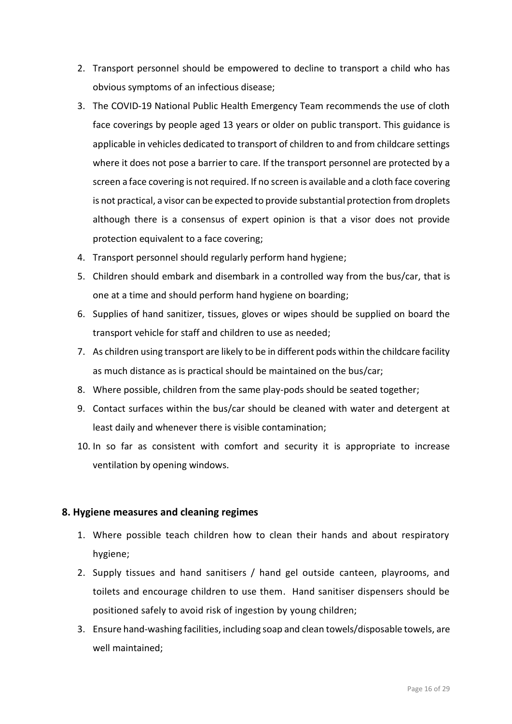- 2. Transport personnel should be empowered to decline to transport a child who has obvious symptoms of an infectious disease;
- 3. The COVID-19 National Public Health Emergency Team recommends the use of cloth face coverings by people aged 13 years or older on public transport. This guidance is applicable in vehicles dedicated to transport of children to and from childcare settings where it does not pose a barrier to care. If the transport personnel are protected by a screen a face covering is not required. If no screen is available and a cloth face covering is not practical, a visor can be expected to provide substantial protection from droplets although there is a consensus of expert opinion is that a visor does not provide protection equivalent to a face covering;
- 4. Transport personnel should regularly perform hand hygiene;
- 5. Children should embark and disembark in a controlled way from the bus/car, that is one at a time and should perform hand hygiene on boarding;
- 6. Supplies of hand sanitizer, tissues, gloves or wipes should be supplied on board the transport vehicle for staff and children to use as needed;
- 7. As children using transport are likely to be in different pods within the childcare facility as much distance as is practical should be maintained on the bus/car;
- 8. Where possible, children from the same play-pods should be seated together;
- 9. Contact surfaces within the bus/car should be cleaned with water and detergent at least daily and whenever there is visible contamination;
- 10. In so far as consistent with comfort and security it is appropriate to increase ventilation by opening windows.

## <span id="page-15-0"></span>**8. Hygiene measures and cleaning regimes**

- 1. Where possible teach children how to clean their hands and about respiratory hygiene;
- 2. Supply tissues and hand sanitisers / hand gel outside canteen, playrooms, and toilets and encourage children to use them. Hand sanitiser dispensers should be positioned safely to avoid risk of ingestion by young children;
- 3. Ensure hand-washing facilities, including soap and clean towels/disposable towels, are well maintained;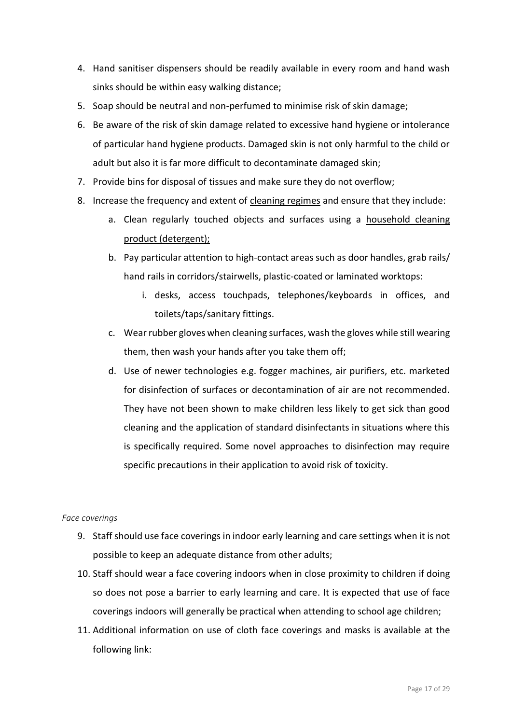- 4. Hand sanitiser dispensers should be readily available in every room and hand wash sinks should be within easy walking distance;
- 5. Soap should be neutral and non-perfumed to minimise risk of skin damage;
- 6. Be aware of the risk of skin damage related to excessive hand hygiene or intolerance of particular hand hygiene products. Damaged skin is not only harmful to the child or adult but also it is far more difficult to decontaminate damaged skin;
- 7. Provide bins for disposal of tissues and make sure they do not overflow;
- 8. Increase the frequency and extent of cleaning regimes and ensure that they include:
	- a. Clean regularly touched objects and surfaces using a household cleaning product (detergent);
	- b. Pay particular attention to high-contact areas such as door handles, grab rails/ hand rails in corridors/stairwells, plastic-coated or laminated worktops:
		- i. desks, access touchpads, telephones/keyboards in offices, and toilets/taps/sanitary fittings.
	- c. Wear rubber gloves when cleaning surfaces, wash the gloves while still wearing them, then wash your hands after you take them off;
	- d. Use of newer technologies e.g. fogger machines, air purifiers, etc. marketed for disinfection of surfaces or decontamination of air are not recommended. They have not been shown to make children less likely to get sick than good cleaning and the application of standard disinfectants in situations where this is specifically required. Some novel approaches to disinfection may require specific precautions in their application to avoid risk of toxicity.

#### *Face coverings*

- 9. Staff should use face coverings in indoor early learning and care settings when it is not possible to keep an adequate distance from other adults;
- 10. Staff should wear a face covering indoors when in close proximity to children if doing so does not pose a barrier to early learning and care. It is expected that use of face coverings indoors will generally be practical when attending to school age children;
- 11. Additional information on use of cloth face coverings and masks is available at the following link: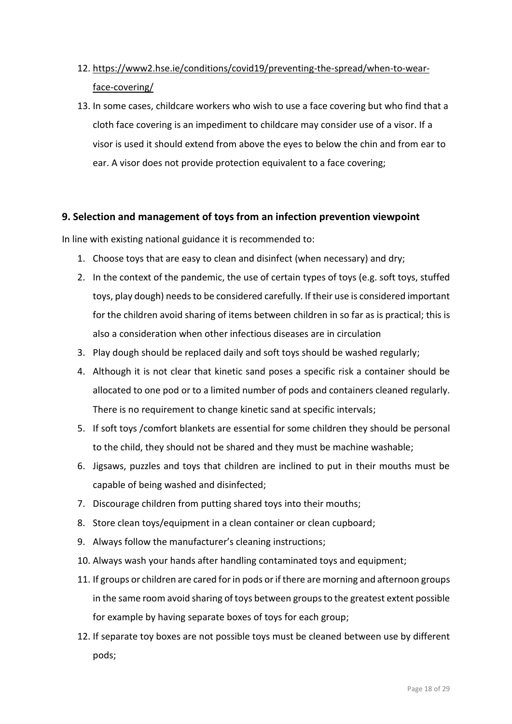- 12. [https://www2.hse.ie/conditions/covid19/preventing-the-spread/when-to-wear](https://www2.hse.ie/conditions/covid19/preventing-the-spread/when-to-wear-face-covering/)[face-covering/](https://www2.hse.ie/conditions/covid19/preventing-the-spread/when-to-wear-face-covering/)
- 13. In some cases, childcare workers who wish to use a face covering but who find that a cloth face covering is an impediment to childcare may consider use of a visor. If a visor is used it should extend from above the eyes to below the chin and from ear to ear. A visor does not provide protection equivalent to a face covering;

# <span id="page-17-0"></span>**9. Selection and management of toys from an infection prevention viewpoint**

In line with existing national guidance it is recommended to:

- 1. Choose toys that are easy to clean and disinfect (when necessary) and dry;
- 2. In the context of the pandemic, the use of certain types of toys (e.g. soft toys, stuffed toys, play dough) needs to be considered carefully. If their use is considered important for the children avoid sharing of items between children in so far as is practical; this is also a consideration when other infectious diseases are in circulation
- 3. Play dough should be replaced daily and soft toys should be washed regularly;
- 4. Although it is not clear that kinetic sand poses a specific risk a container should be allocated to one pod or to a limited number of pods and containers cleaned regularly. There is no requirement to change kinetic sand at specific intervals;
- 5. If soft toys /comfort blankets are essential for some children they should be personal to the child, they should not be shared and they must be machine washable;
- 6. Jigsaws, puzzles and toys that children are inclined to put in their mouths must be capable of being washed and disinfected;
- 7. Discourage children from putting shared toys into their mouths;
- 8. Store clean toys/equipment in a clean container or clean cupboard;
- 9. Always follow the manufacturer's cleaning instructions;
- 10. Always wash your hands after handling contaminated toys and equipment;
- 11. If groups or children are cared for in pods or if there are morning and afternoon groups in the same room avoid sharing of toys between groups to the greatest extent possible for example by having separate boxes of toys for each group;
- 12. If separate toy boxes are not possible toys must be cleaned between use by different pods;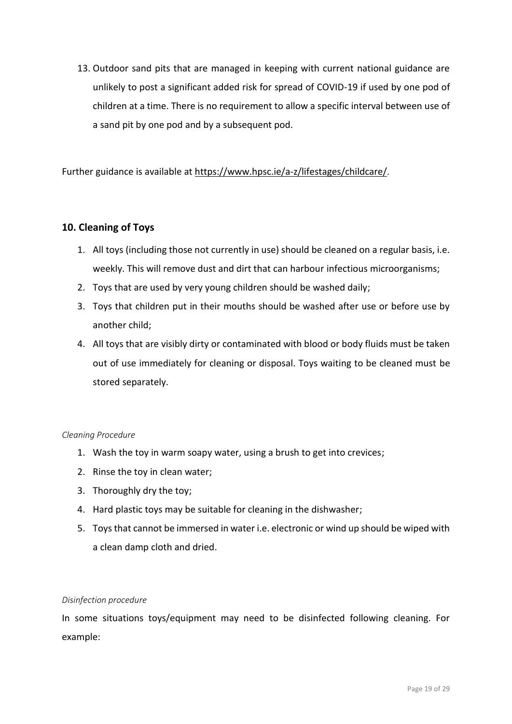13. Outdoor sand pits that are managed in keeping with current national guidance are unlikely to post a significant added risk for spread of COVID-19 if used by one pod of children at a time. There is no requirement to allow a specific interval between use of a sand pit by one pod and by a subsequent pod.

Further guidance is available at <https://www.hpsc.ie/a-z/lifestages/childcare/>.

# <span id="page-18-0"></span>**10. Cleaning of Toys**

- 1. All toys (including those not currently in use) should be cleaned on a regular basis, i.e. weekly. This will remove dust and dirt that can harbour infectious microorganisms;
- 2. Toys that are used by very young children should be washed daily;
- 3. Toys that children put in their mouths should be washed after use or before use by another child;
- 4. All toys that are visibly dirty or contaminated with blood or body fluids must be taken out of use immediately for cleaning or disposal. Toys waiting to be cleaned must be stored separately.

## *Cleaning Procedure*

- 1. Wash the toy in warm soapy water, using a brush to get into crevices;
- 2. Rinse the toy in clean water;
- 3. Thoroughly dry the toy;
- 4. Hard plastic toys may be suitable for cleaning in the dishwasher;
- 5. Toys that cannot be immersed in water i.e. electronic or wind up should be wiped with a clean damp cloth and dried.

#### *Disinfection procedure*

In some situations toys/equipment may need to be disinfected following cleaning. For example: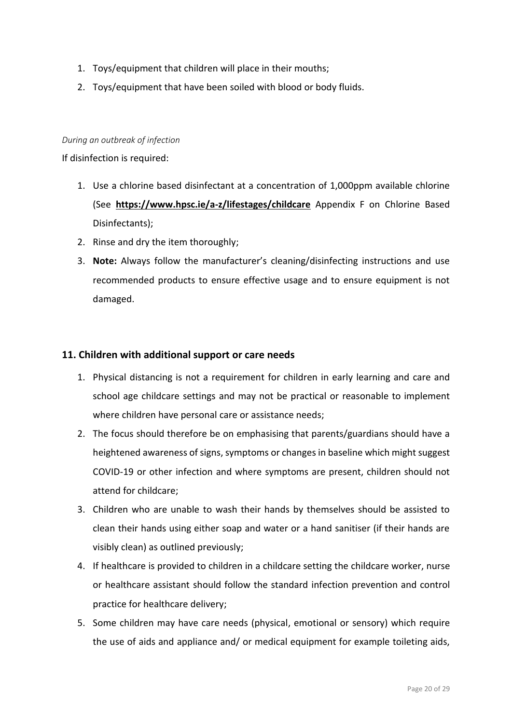- 1. Toys/equipment that children will place in their mouths;
- 2. Toys/equipment that have been soiled with blood or body fluids.

#### *During an outbreak of infection*

#### If disinfection is required:

- 1. Use a chlorine based disinfectant at a concentration of 1,000ppm available chlorine (See **<https://www.hpsc.ie/a-z/lifestages/childcare>** Appendix F on Chlorine Based Disinfectants);
- 2. Rinse and dry the item thoroughly;
- 3. **Note:** Always follow the manufacturer's cleaning/disinfecting instructions and use recommended products to ensure effective usage and to ensure equipment is not damaged.

#### <span id="page-19-0"></span>**11. Children with additional support or care needs**

- 1. Physical distancing is not a requirement for children in early learning and care and school age childcare settings and may not be practical or reasonable to implement where children have personal care or assistance needs;
- 2. The focus should therefore be on emphasising that parents/guardians should have a heightened awareness of signs, symptoms or changes in baseline which might suggest COVID-19 or other infection and where symptoms are present, children should not attend for childcare;
- 3. Children who are unable to wash their hands by themselves should be assisted to clean their hands using either soap and water or a hand sanitiser (if their hands are visibly clean) as outlined previously;
- 4. If healthcare is provided to children in a childcare setting the childcare worker, nurse or healthcare assistant should follow the standard infection prevention and control practice for healthcare delivery;
- 5. Some children may have care needs (physical, emotional or sensory) which require the use of aids and appliance and/ or medical equipment for example toileting aids,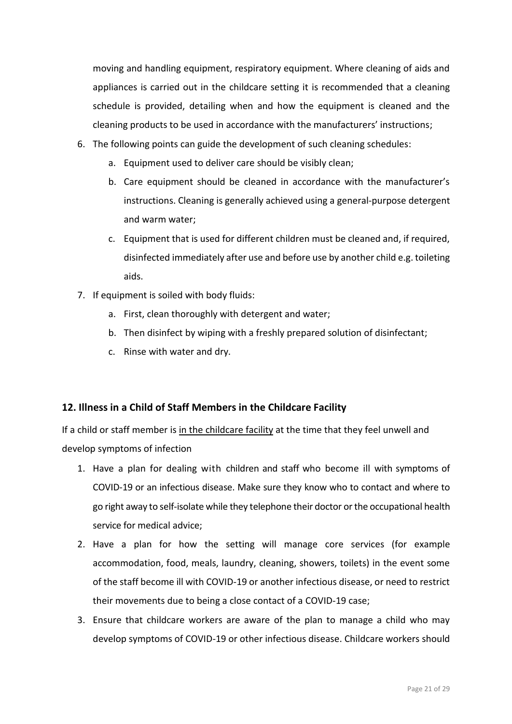moving and handling equipment, respiratory equipment. Where cleaning of aids and appliances is carried out in the childcare setting it is recommended that a cleaning schedule is provided, detailing when and how the equipment is cleaned and the cleaning products to be used in accordance with the manufacturers' instructions;

- 6. The following points can guide the development of such cleaning schedules:
	- a. Equipment used to deliver care should be visibly clean;
	- b. Care equipment should be cleaned in accordance with the manufacturer's instructions. Cleaning is generally achieved using a general-purpose detergent and warm water;
	- c. Equipment that is used for different children must be cleaned and, if required, disinfected immediately after use and before use by another child e.g. toileting aids.
- 7. If equipment is soiled with body fluids:
	- a. First, clean thoroughly with detergent and water;
	- b. Then disinfect by wiping with a freshly prepared solution of disinfectant;
	- c. Rinse with water and dry.

# <span id="page-20-0"></span>**12. Illness in a Child of Staff Members in the Childcare Facility**

If a child or staff member is in the childcare facility at the time that they feel unwell and develop symptoms of infection

- 1. Have a plan for dealing with children and staff who become ill with symptoms of COVID-19 or an infectious disease. Make sure they know who to contact and where to go right away to self-isolate while they telephone their doctor or the occupational health service for medical advice;
- 2. Have a plan for how the setting will manage core services (for example accommodation, food, meals, laundry, cleaning, showers, toilets) in the event some of the staff become ill with COVID-19 or another infectious disease, or need to restrict their movements due to being a close contact of a COVID-19 case;
- 3. Ensure that childcare workers are aware of the plan to manage a child who may develop symptoms of COVID-19 or other infectious disease. Childcare workers should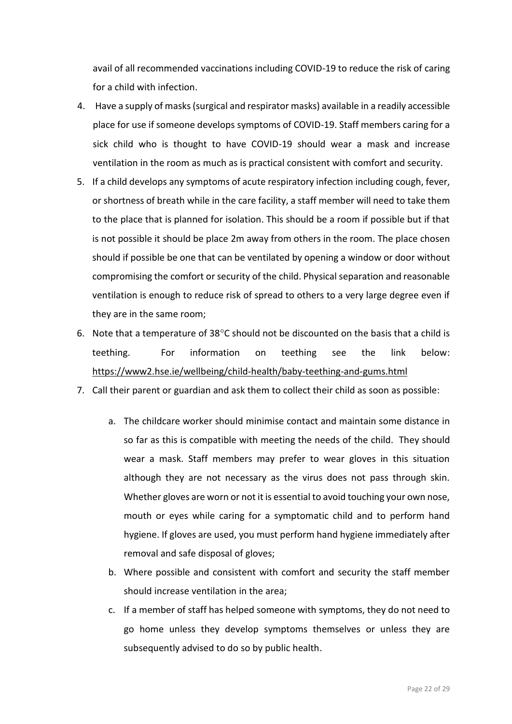avail of all recommended vaccinations including COVID-19 to reduce the risk of caring for a child with infection.

- 4. Have a supply of masks (surgical and respirator masks) available in a readily accessible place for use if someone develops symptoms of COVID-19. Staff members caring for a sick child who is thought to have COVID-19 should wear a mask and increase ventilation in the room as much as is practical consistent with comfort and security.
- 5. If a child develops any symptoms of acute respiratory infection including cough, fever, or shortness of breath while in the care facility, a staff member will need to take them to the place that is planned for isolation. This should be a room if possible but if that is not possible it should be place 2m away from others in the room. The place chosen should if possible be one that can be ventilated by opening a window or door without compromising the comfort or security of the child. Physical separation and reasonable ventilation is enough to reduce risk of spread to others to a very large degree even if they are in the same room;
- 6. Note that a temperature of  $38^{\circ}$ C should not be discounted on the basis that a child is teething. For information on teething see the link below: <https://www2.hse.ie/wellbeing/child-health/baby-teething-and-gums.html>
- 7. Call their parent or guardian and ask them to collect their child as soon as possible:
	- a. The childcare worker should minimise contact and maintain some distance in so far as this is compatible with meeting the needs of the child. They should wear a mask. Staff members may prefer to wear gloves in this situation although they are not necessary as the virus does not pass through skin. Whether gloves are worn or not it is essential to avoid touching your own nose, mouth or eyes while caring for a symptomatic child and to perform hand hygiene. If gloves are used, you must perform hand hygiene immediately after removal and safe disposal of gloves;
	- b. Where possible and consistent with comfort and security the staff member should increase ventilation in the area;
	- c. If a member of staff has helped someone with symptoms, they do not need to go home unless they develop symptoms themselves or unless they are subsequently advised to do so by public health.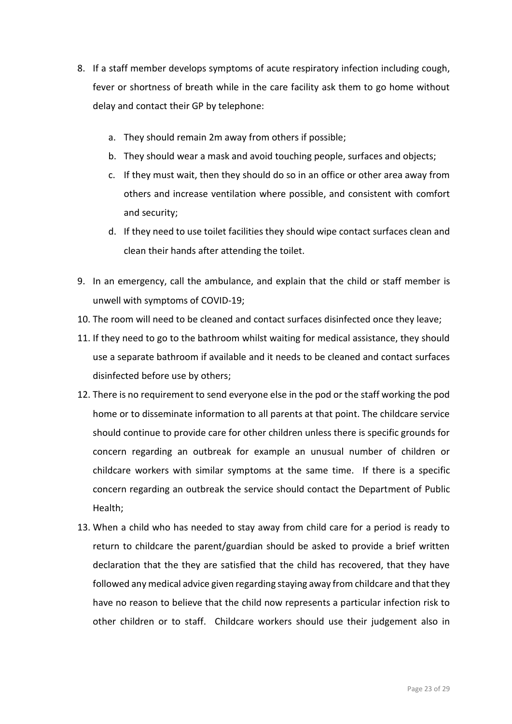- 8. If a staff member develops symptoms of acute respiratory infection including cough, fever or shortness of breath while in the care facility ask them to go home without delay and contact their GP by telephone:
	- a. They should remain 2m away from others if possible;
	- b. They should wear a mask and avoid touching people, surfaces and objects;
	- c. If they must wait, then they should do so in an office or other area away from others and increase ventilation where possible, and consistent with comfort and security;
	- d. If they need to use toilet facilities they should wipe contact surfaces clean and clean their hands after attending the toilet.
- 9. In an emergency, call the ambulance, and explain that the child or staff member is unwell with symptoms of COVID-19;
- 10. The room will need to be cleaned and contact surfaces disinfected once they leave;
- 11. If they need to go to the bathroom whilst waiting for medical assistance, they should use a separate bathroom if available and it needs to be cleaned and contact surfaces disinfected before use by others;
- 12. There is no requirement to send everyone else in the pod or the staff working the pod home or to disseminate information to all parents at that point. The childcare service should continue to provide care for other children unless there is specific grounds for concern regarding an outbreak for example an unusual number of children or childcare workers with similar symptoms at the same time. If there is a specific concern regarding an outbreak the service should contact the Department of Public Health;
- 13. When a child who has needed to stay away from child care for a period is ready to return to childcare the parent/guardian should be asked to provide a brief written declaration that the they are satisfied that the child has recovered, that they have followed any medical advice given regarding staying away from childcare and that they have no reason to believe that the child now represents a particular infection risk to other children or to staff. Childcare workers should use their judgement also in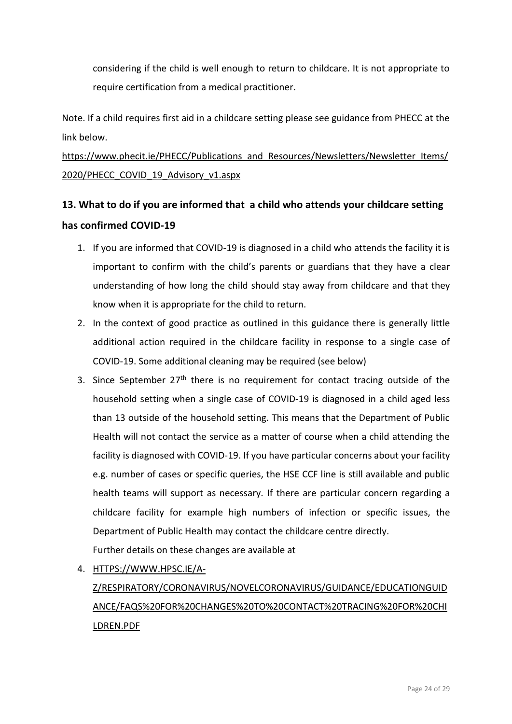considering if the child is well enough to return to childcare. It is not appropriate to require certification from a medical practitioner.

Note. If a child requires first aid in a childcare setting please see guidance from PHECC at the link below.

# [https://www.phecit.ie/PHECC/Publications\\_and\\_Resources/Newsletters/Newsletter\\_Items/](https://www.phecit.ie/PHECC/Publications_and_Resources/Newsletters/Newsletter_Items/2020/PHECC_COVID_19_Advisory_v1.aspx) [2020/PHECC\\_COVID\\_19\\_Advisory\\_v1.aspx](https://www.phecit.ie/PHECC/Publications_and_Resources/Newsletters/Newsletter_Items/2020/PHECC_COVID_19_Advisory_v1.aspx)

# <span id="page-23-0"></span>**13. What to do if you are informed that a child who attends your childcare setting has confirmed COVID-19**

- 1. If you are informed that COVID-19 is diagnosed in a child who attends the facility it is important to confirm with the child's parents or guardians that they have a clear understanding of how long the child should stay away from childcare and that they know when it is appropriate for the child to return.
- 2. In the context of good practice as outlined in this guidance there is generally little additional action required in the childcare facility in response to a single case of COVID-19. Some additional cleaning may be required (see below)
- 3. Since September  $27<sup>th</sup>$  there is no requirement for contact tracing outside of the household setting when a single case of COVID-19 is diagnosed in a child aged less than 13 outside of the household setting. This means that the Department of Public Health will not contact the service as a matter of course when a child attending the facility is diagnosed with COVID-19. If you have particular concerns about your facility e.g. number of cases or specific queries, the HSE CCF line is still available and public health teams will support as necessary. If there are particular concern regarding a childcare facility for example high numbers of infection or specific issues, the Department of Public Health may contact the childcare centre directly. Further details on these changes are available at
- 4. [HTTPS://WWW.HPSC.IE/A-](https://www.hpsc.ie/a-z/respiratory/coronavirus/novelcoronavirus/guidance/educationguidance/FAQs%20for%20changes%20to%20contact%20tracing%20for%20children.pdf)[Z/RESPIRATORY/CORONAVIRUS/NOVELCORONAVIRUS/GUIDANCE/EDUCATIONGUID](https://www.hpsc.ie/a-z/respiratory/coronavirus/novelcoronavirus/guidance/educationguidance/FAQs%20for%20changes%20to%20contact%20tracing%20for%20children.pdf) [ANCE/FAQS%20FOR%20CHANGES%20TO%20CONTACT%20TRACING%20FOR%20CHI](https://www.hpsc.ie/a-z/respiratory/coronavirus/novelcoronavirus/guidance/educationguidance/FAQs%20for%20changes%20to%20contact%20tracing%20for%20children.pdf) [LDREN.PDF](https://www.hpsc.ie/a-z/respiratory/coronavirus/novelcoronavirus/guidance/educationguidance/FAQs%20for%20changes%20to%20contact%20tracing%20for%20children.pdf)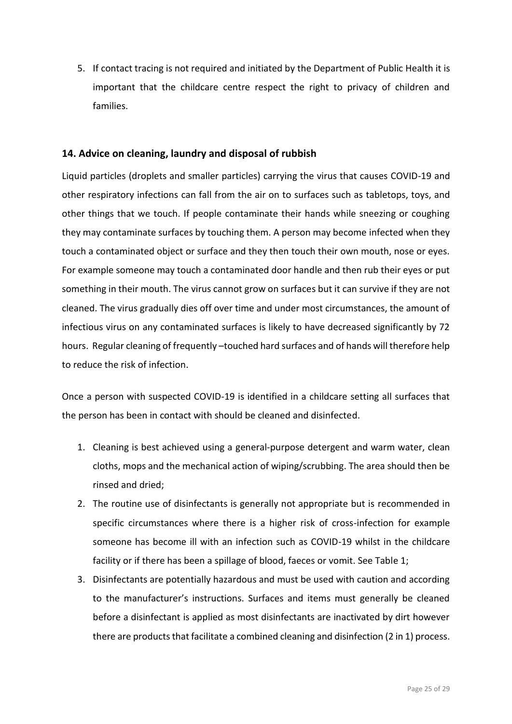5. If contact tracing is not required and initiated by the Department of Public Health it is important that the childcare centre respect the right to privacy of children and families.

## <span id="page-24-0"></span>**14. Advice on cleaning, laundry and disposal of rubbish**

Liquid particles (droplets and smaller particles) carrying the virus that causes COVID-19 and other respiratory infections can fall from the air on to surfaces such as tabletops, toys, and other things that we touch. If people contaminate their hands while sneezing or coughing they may contaminate surfaces by touching them. A person may become infected when they touch a contaminated object or surface and they then touch their own mouth, nose or eyes. For example someone may touch a contaminated door handle and then rub their eyes or put something in their mouth. The virus cannot grow on surfaces but it can survive if they are not cleaned. The virus gradually dies off over time and under most circumstances, the amount of infectious virus on any contaminated surfaces is likely to have decreased significantly by 72 hours. Regular cleaning of frequently –touched hard surfaces and of hands will therefore help to reduce the risk of infection.

Once a person with suspected COVID-19 is identified in a childcare setting all surfaces that the person has been in contact with should be cleaned and disinfected.

- 1. Cleaning is best achieved using a general-purpose detergent and warm water, clean cloths, mops and the mechanical action of wiping/scrubbing. The area should then be rinsed and dried;
- 2. The routine use of disinfectants is generally not appropriate but is recommended in specific circumstances where there is a higher risk of cross-infection for example someone has become ill with an infection such as COVID-19 whilst in the childcare facility or if there has been a spillage of blood, faeces or vomit. See Table 1;
- 3. Disinfectants are potentially hazardous and must be used with caution and according to the manufacturer's instructions. Surfaces and items must generally be cleaned before a disinfectant is applied as most disinfectants are inactivated by dirt however there are products that facilitate a combined cleaning and disinfection (2 in 1) process.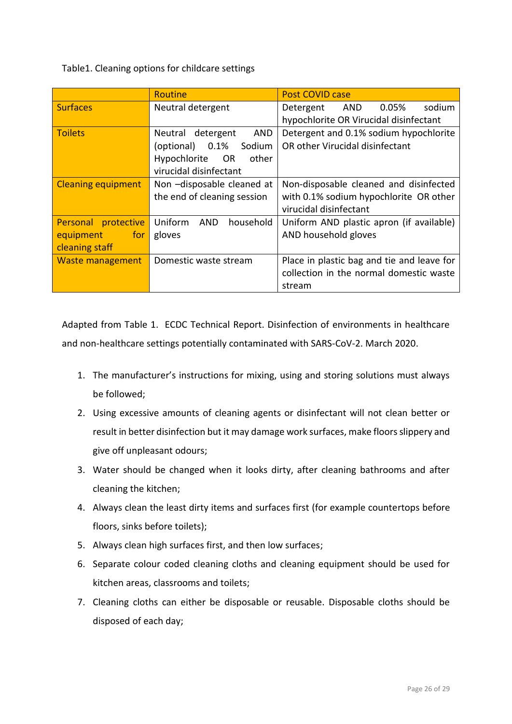# Table1. Cleaning options for childcare settings

|                           | Routine                            | <b>Post COVID case</b>                     |
|---------------------------|------------------------------------|--------------------------------------------|
| <b>Surfaces</b>           | Neutral detergent                  | 0.05%<br>sodium<br>Detergent AND           |
|                           |                                    | hypochlorite OR Virucidal disinfectant     |
| <b>Toilets</b>            | Neutral detergent<br>AND           | Detergent and 0.1% sodium hypochlorite     |
|                           | (optional) 0.1%<br>Sodium          | OR other Virucidal disinfectant            |
|                           | Hypochlorite<br>other<br><b>OR</b> |                                            |
|                           | virucidal disinfectant             |                                            |
| <b>Cleaning equipment</b> | Non -disposable cleaned at         | Non-disposable cleaned and disinfected     |
|                           | the end of cleaning session        | with 0.1% sodium hypochlorite OR other     |
|                           |                                    | virucidal disinfectant                     |
| Personal protective       | Uniform<br>AND<br>household        | Uniform AND plastic apron (if available)   |
| equipment for             | gloves                             | AND household gloves                       |
| cleaning staff            |                                    |                                            |
| Waste management          | Domestic waste stream              | Place in plastic bag and tie and leave for |
|                           |                                    | collection in the normal domestic waste    |
|                           |                                    | stream                                     |

Adapted from Table 1. ECDC Technical Report. Disinfection of environments in healthcare and non-healthcare settings potentially contaminated with SARS-CoV-2. March 2020.

- 1. The manufacturer's instructions for mixing, using and storing solutions must always be followed;
- 2. Using excessive amounts of cleaning agents or disinfectant will not clean better or result in better disinfection but it may damage work surfaces, make floors slippery and give off unpleasant odours;
- 3. Water should be changed when it looks dirty, after cleaning bathrooms and after cleaning the kitchen;
- 4. Always clean the least dirty items and surfaces first (for example countertops before floors, sinks before toilets);
- 5. Always clean high surfaces first, and then low surfaces;
- 6. Separate colour coded cleaning cloths and cleaning equipment should be used for kitchen areas, classrooms and toilets;
- 7. Cleaning cloths can either be disposable or reusable. Disposable cloths should be disposed of each day;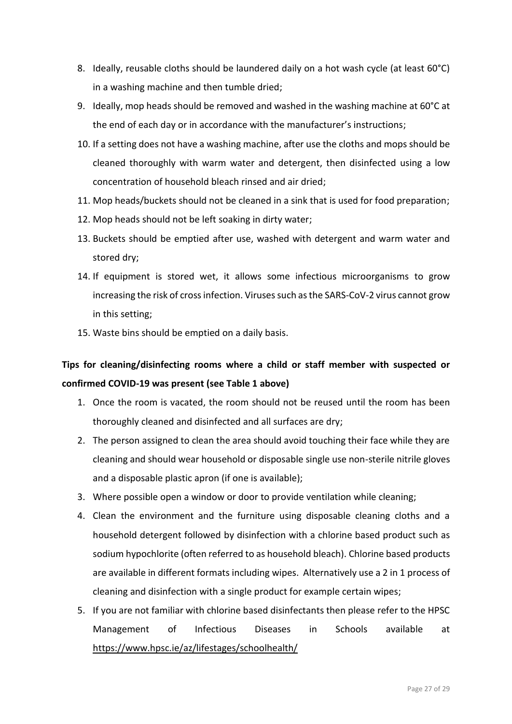- 8. Ideally, reusable cloths should be laundered daily on a hot wash cycle (at least 60°C) in a washing machine and then tumble dried;
- 9. Ideally, mop heads should be removed and washed in the washing machine at 60°C at the end of each day or in accordance with the manufacturer's instructions;
- 10. If a setting does not have a washing machine, after use the cloths and mops should be cleaned thoroughly with warm water and detergent, then disinfected using a low concentration of household bleach rinsed and air dried;
- 11. Mop heads/buckets should not be cleaned in a sink that is used for food preparation;
- 12. Mop heads should not be left soaking in dirty water;
- 13. Buckets should be emptied after use, washed with detergent and warm water and stored dry;
- 14. If equipment is stored wet, it allows some infectious microorganisms to grow increasing the risk of cross infection. Viruses such as the SARS-CoV-2 virus cannot grow in this setting;
- 15. Waste bins should be emptied on a daily basis.

# **Tips for cleaning/disinfecting rooms where a child or staff member with suspected or confirmed COVID-19 was present (see Table 1 above)**

- 1. Once the room is vacated, the room should not be reused until the room has been thoroughly cleaned and disinfected and all surfaces are dry;
- 2. The person assigned to clean the area should avoid touching their face while they are cleaning and should wear household or disposable single use non-sterile nitrile gloves and a disposable plastic apron (if one is available);
- 3. Where possible open a window or door to provide ventilation while cleaning;
- 4. Clean the environment and the furniture using disposable cleaning cloths and a household detergent followed by disinfection with a chlorine based product such as sodium hypochlorite (often referred to as household bleach). Chlorine based products are available in different formats including wipes. Alternatively use a 2 in 1 process of cleaning and disinfection with a single product for example certain wipes;
- 5. If you are not familiar with chlorine based disinfectants then please refer to the HPSC Management of Infectious Diseases in Schools available at <https://www.hpsc.ie/az/lifestages/schoolhealth/>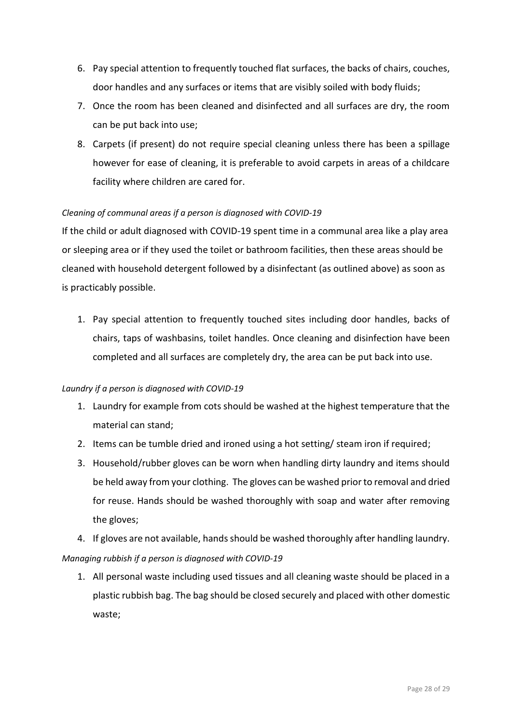- 6. Pay special attention to frequently touched flat surfaces, the backs of chairs, couches, door handles and any surfaces or items that are visibly soiled with body fluids;
- 7. Once the room has been cleaned and disinfected and all surfaces are dry, the room can be put back into use;
- 8. Carpets (if present) do not require special cleaning unless there has been a spillage however for ease of cleaning, it is preferable to avoid carpets in areas of a childcare facility where children are cared for.

## *Cleaning of communal areas if a person is diagnosed with COVID-19*

If the child or adult diagnosed with COVID-19 spent time in a communal area like a play area or sleeping area or if they used the toilet or bathroom facilities, then these areas should be cleaned with household detergent followed by a disinfectant (as outlined above) as soon as is practicably possible.

1. Pay special attention to frequently touched sites including door handles, backs of chairs, taps of washbasins, toilet handles. Once cleaning and disinfection have been completed and all surfaces are completely dry, the area can be put back into use.

## *Laundry if a person is diagnosed with COVID-19*

- 1. Laundry for example from cots should be washed at the highest temperature that the material can stand;
- 2. Items can be tumble dried and ironed using a hot setting/ steam iron if required;
- 3. Household/rubber gloves can be worn when handling dirty laundry and items should be held away from your clothing. The gloves can be washed prior to removal and dried for reuse. Hands should be washed thoroughly with soap and water after removing the gloves;

4. If gloves are not available, hands should be washed thoroughly after handling laundry. *Managing rubbish if a person is diagnosed with COVID-19*

1. All personal waste including used tissues and all cleaning waste should be placed in a plastic rubbish bag. The bag should be closed securely and placed with other domestic waste;